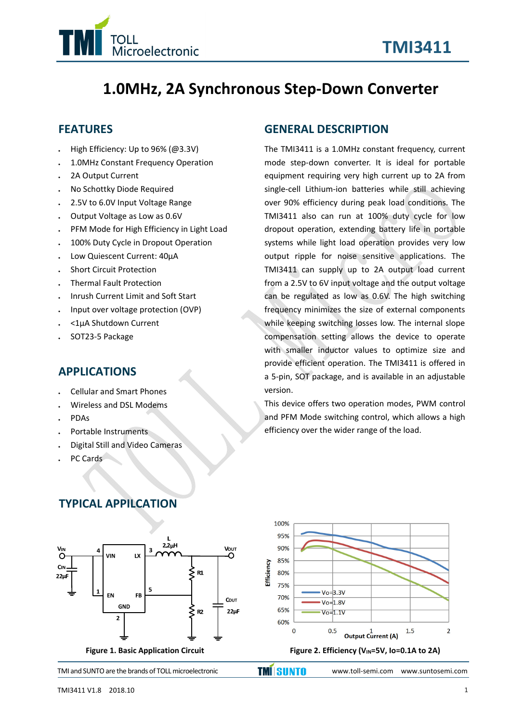

# **1.0MHz, 2A Synchronous Step‐Down Converter**

#### **FEATURES**

- High Efficiency: Up to 96% (@3.3V)
- 1.0MHz Constant Frequency Operation
- 2A Output Current
- No Schottky Diode Required
- 2.5V to 6.0V Input Voltage Range
- Output Voltage as Low as 0.6V
- PFM Mode for High Efficiency in Light Load
- 100% Duty Cycle in Dropout Operation
- Low Quiescent Current: 40µA
- Short Circuit Protection
- Thermal Fault Protection
- Inrush Current Limit and Soft Start
- Input over voltage protection (OVP)
- <1µA Shutdown Current
- SOT23‐5 Package

#### **APPLICATIONS**

- Cellular and Smart Phones
- Wireless and DSL Modems
- PDAs
- Portable Instruments
- Digital Still and Video Cameras
- PC Cards

#### **GENERAL DESCRIPTION**

The TMI3411 is a 1.0MHz constant frequency, current mode step‐down converter. It is ideal for portable equipment requiring very high current up to 2A from single‐cell Lithium‐ion batteries while still achieving over 90% efficiency during peak load conditions. The TMI3411 also can run at 100% duty cycle for low dropout operation, extending battery life in portable systems while light load operation provides very low output ripple for noise sensitive applications. The TMI3411 can supply up to 2A output load current from a 2.5V to 6V input voltage and the output voltage can be regulated as low as 0.6V. The high switching frequency minimizes the size of external components while keeping switching losses low. The internal slope compensation setting allows the device to operate with smaller inductor values to optimize size and provide efficient operation. The TMI3411 is offered in a 5‐pin, SOT package, and is available in an adjustable version.

This device offers two operation modes, PWM control and PFM Mode switching control, which allows a high efficiency over the wider range of the load.

# **TYPICAL APPILCATION**

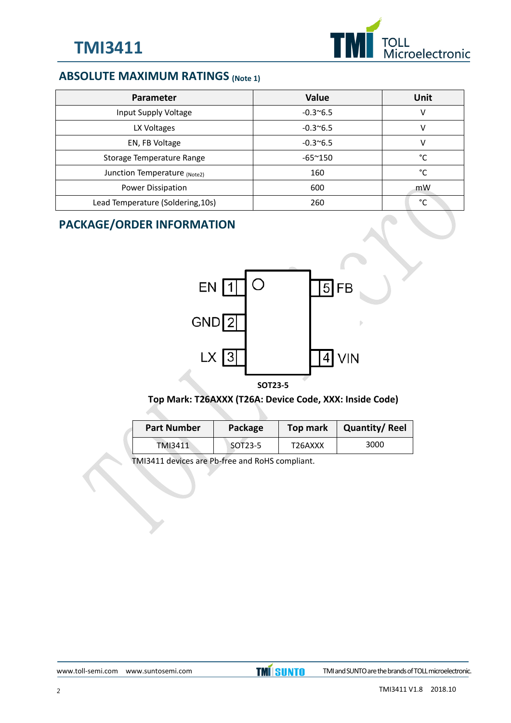

# **ABSOLUTE MAXIMUM RATINGS (Note 1)**

| Parameter                         | Value             | Unit |
|-----------------------------------|-------------------|------|
| Input Supply Voltage              | $-0.3^{\circ}6.5$ | V    |
| LX Voltages                       | $-0.3^{\circ}6.5$ | v    |
| EN, FB Voltage                    | $-0.3^{\circ}6.5$ | v    |
| Storage Temperature Range         | $-65^{\sim}150$   | °C   |
| Junction Temperature (Note2)      | 160               | °C   |
| Power Dissipation                 | 600               | mW   |
| Lead Temperature (Soldering, 10s) | 260               | °€   |

# **PACKAGE/ORDER INFORMATION**



#### **Top Mark: T26AXXX (T26A: Device Code, XXX: Inside Code)**

| <b>Part Number</b> | Package | Top mark | <b>Quantity/Reel</b> |  |
|--------------------|---------|----------|----------------------|--|
| TMI3411            | SOT23-5 | T26AXXX  | 3000                 |  |

TMI3411 devices are Pb‐free and RoHS compliant.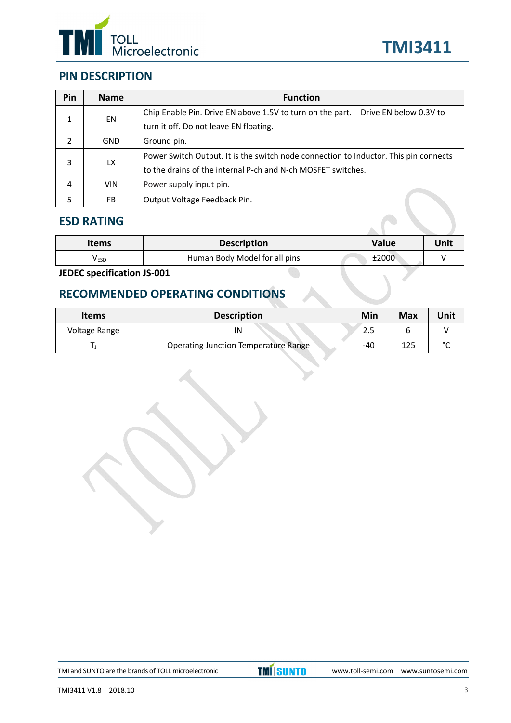



# **PIN DESCRIPTION**

| Pin | <b>Name</b> | <b>Function</b>                                                                      |  |  |  |
|-----|-------------|--------------------------------------------------------------------------------------|--|--|--|
| 1   | EN          | Drive EN below 0.3V to<br>Chip Enable Pin. Drive EN above 1.5V to turn on the part.  |  |  |  |
|     |             | turn it off. Do not leave EN floating.                                               |  |  |  |
| 2   | <b>GND</b>  | Ground pin.                                                                          |  |  |  |
|     |             | Power Switch Output. It is the switch node connection to Inductor. This pin connects |  |  |  |
| 3   | LX          | to the drains of the internal P-ch and N-ch MOSFET switches.                         |  |  |  |
| 4   | <b>VIN</b>  | Power supply input pin.                                                              |  |  |  |
| 5   | FB          | Output Voltage Feedback Pin.                                                         |  |  |  |

#### **ESD RATING**

| <b>Items</b> | <b>Description</b>            | Value | Unit |
|--------------|-------------------------------|-------|------|
| <b>V</b> ESD | Human Body Model for all pins | ±2000 |      |

**JEDEC specification JS‐001**

# **RECOMMENDED OPERATING CONDITIONS**

| <b>Items</b>  | <b>Description</b>                          | Min | <b>Max</b> | Unit   |
|---------------|---------------------------------------------|-----|------------|--------|
| Voltage Range | IN                                          |     |            |        |
|               | <b>Operating Junction Temperature Range</b> | -40 |            | $\sim$ |

TMI and SUNTO are the brands of TOLL microelectronic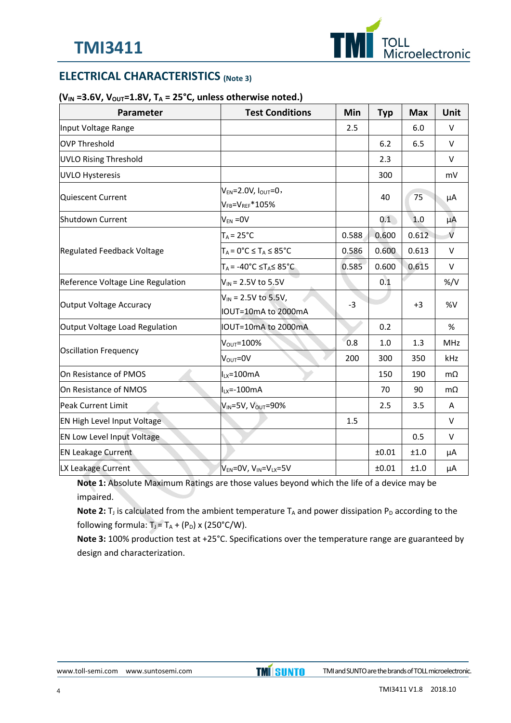

# **ELECTRICAL CHARACTERISTICS (Note 3)**

#### **(VIN =3.6V, VOUT=1.8V, TA = 25°C, unless otherwise noted.)**

| Parameter                         | <b>Test Conditions</b>                                      | Min   | <b>Typ</b> | <b>Max</b> | Unit          |
|-----------------------------------|-------------------------------------------------------------|-------|------------|------------|---------------|
| Input Voltage Range               |                                                             | 2.5   |            | 6.0        | $\vee$        |
| OVP Threshold                     |                                                             |       | 6.2        | 6.5        | $\vee$        |
| <b>UVLO Rising Threshold</b>      |                                                             |       | 2.3        |            | v             |
| UVLO Hysteresis                   |                                                             |       | 300        |            | mV            |
| Quiescent Current                 | $V_{EN} = 2.0 V, I_{OUT} = 0,$<br>$V_{FB} = V_{REF} * 105%$ |       | 40         | 75         | μA            |
| Shutdown Current                  | $V_{EN} = 0V$                                               |       | 0.1        | 1.0        | μA            |
|                                   | $T_A = 25^{\circ}C$                                         | 0.588 | 0.600      | 0.612      | $\vee$        |
| <b>Regulated Feedback Voltage</b> | $T_A = 0^\circ C \leq T_A \leq 85^\circ C$                  | 0.586 | 0.600      | 0.613      | $\vee$        |
|                                   | $T_A$ = -40°C $\leq T_A \leq 85$ °C                         | 0.585 | 0.600      | 0.615      | $\vee$        |
| Reference Voltage Line Regulation | $V_{IN}$ = 2.5V to 5.5V                                     |       | 0.1        |            | $\frac{9}{V}$ |
| Output Voltage Accuracy           | $V_{IN}$ = 2.5V to 5.5V,<br>IOUT=10mA to 2000mA             | $-3$  |            | $+3$       | %V            |
| Output Voltage Load Regulation    | IOUT=10mA to 2000mA                                         |       | 0.2        |            | $\%$          |
|                                   | $V_{\text{OUT}} = 100\%$                                    | 0.8   | 1.0        | 1.3        | <b>MHz</b>    |
| Oscillation Frequency             | $V_{\text{OUT}} = 0V$                                       | 200   | 300        | 350        | kHz           |
| On Resistance of PMOS             | $I_{LX} = 100mA$                                            |       | 150        | 190        | $m\Omega$     |
| On Resistance of NMOS             | $ILX=-100mA$                                                |       | 70         | 90         | $m\Omega$     |
| Peak Current Limit                | VIN=5V, VOUT=90%                                            |       | 2.5        | 3.5        | Α             |
| EN High Level Input Voltage       |                                                             | 1.5   |            |            | $\vee$        |
| <b>EN Low Level Input Voltage</b> |                                                             |       |            | 0.5        | $\vee$        |
| <b>EN Leakage Current</b>         |                                                             |       | $\pm 0.01$ | ±1.0       | μA            |
| LX Leakage Current                | $V_{EN}$ =0V, $V_{IN}$ =V <sub>LX</sub> =5V                 |       | ±0.01      | ±1.0       | μA            |

**Note 1:** Absolute Maximum Ratings are those values beyond which the life of a device may be impaired.

Note 2: T<sub>J</sub> is calculated from the ambient temperature T<sub>A</sub> and power dissipation P<sub>D</sub> according to the following formula:  $T_J = T_A + (P_D) \times (250^{\circ}C/W)$ .

**Note 3:** 100% production test at +25°C. Specifications over the temperature range are guaranteed by design and characterization.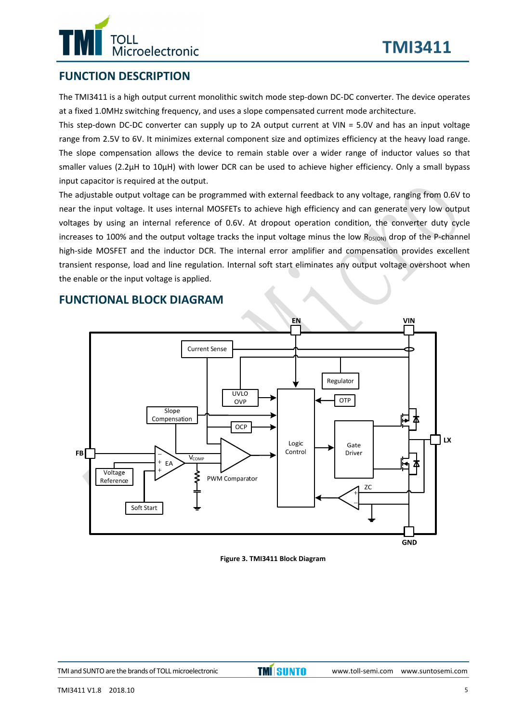# TOLL<br>Microelectronic

# **FUNCTION DESCRIPTION**

The TMI3411 is a high output current monolithic switch mode step-down DC-DC converter. The device operates at a fixed 1.0MHz switching frequency, and uses a slope compensated current mode architecture.

This step-down DC-DC converter can supply up to 2A output current at VIN =  $5.0V$  and has an input voltage range from 2.5V to 6V. It minimizes external component size and optimizes efficiency at the heavy load range. The slope compensation allows the device to remain stable over a wider range of inductor values so that smaller values (2.2μH to 10μH) with lower DCR can be used to achieve higher efficiency. Only a small bypass input capacitor is required at the output.

The adjustable output voltage can be programmed with external feedback to any voltage, ranging from 0.6V to near the input voltage. It uses internal MOSFETs to achieve high efficiency and can generate very low output voltages by using an internal reference of 0.6V. At dropout operation condition, the converter duty cycle increases to 100% and the output voltage tracks the input voltage minus the low  $R_{DS(ON)}$  drop of the P-channel high-side MOSFET and the inductor DCR. The internal error amplifier and compensation provides excellent transient response, load and line regulation. Internal soft start eliminates any output voltage overshoot when the enable or the input voltage is applied.



## **FUNCTIONAL BLOCK DIAGRAM**

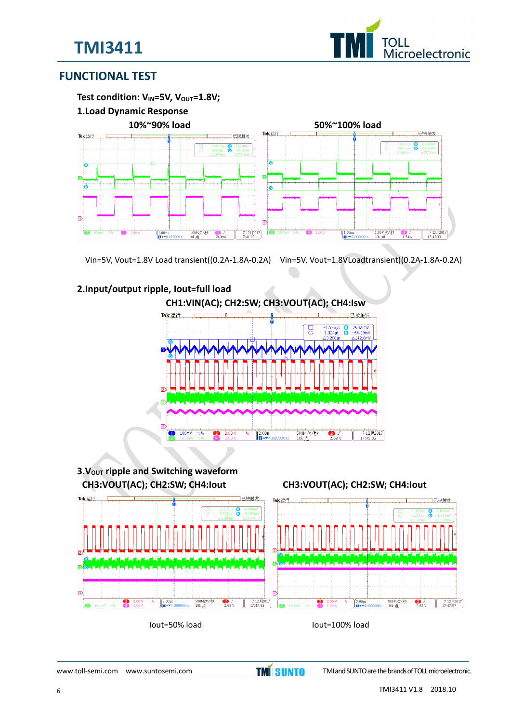



## **FUNCTIONAL TEST**



Vin=5V, Vout=1.8V Load transient((0.2A‐1.8A‐0.2A) Vin=5V, Vout=1.8VLoadtransient((0.2A‐1.8A‐0.2A)

#### **2.Input/output ripple, Iout=full load**





Iout=50% load Iout=100% load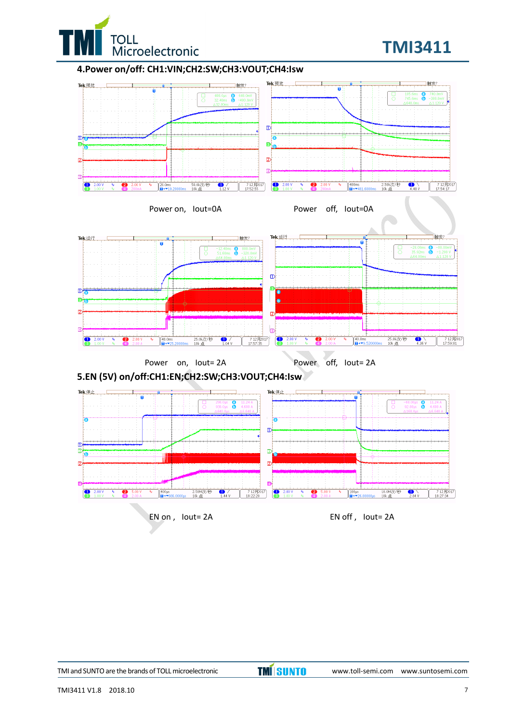

# **TMI3411**

#### **4.Power on/off: CH1:VIN;CH2:SW;CH3:VOUT;CH4:Isw**



**TMI** SUNTO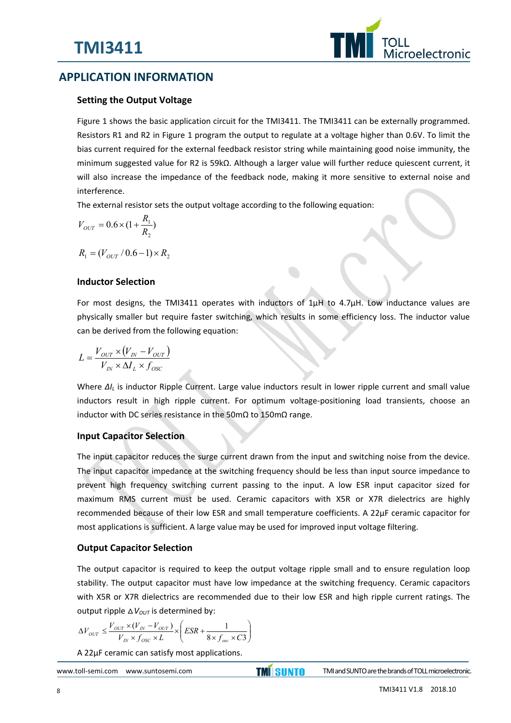

# **APPLICATION INFORMATION**

#### **Setting the Output Voltage**

Figure 1 shows the basic application circuit for the TMI3411. The TMI3411 can be externally programmed. Resistors R1 and R2 in Figure 1 program the output to regulate at a voltage higher than 0.6V. To limit the bias current required for the external feedback resistor string while maintaining good noise immunity, the minimum suggested value for R2 is 59kΩ. Although a larger value will further reduce quiescent current, it will also increase the impedance of the feedback node, making it more sensitive to external noise and interference.

The external resistor sets the output voltage according to the following equation:

$$
V_{OUT} = 0.6 \times (1 + \frac{R_1}{R_2})
$$

 $R_1 = (V_{OUT}/0.6 - 1) \times R_2$ 

#### **Inductor Selection**

For most designs, the TMI3411 operates with inductors of 1µH to 4.7µH. Low inductance values are physically smaller but require faster switching, which results in some efficiency loss. The inductor value can be derived from the following equation:

$$
L = \frac{V_{OUT} \times (V_{IN} - V_{OUT})}{V_{IN} \times \Delta I_L \times f_{OSC}}
$$

Where  $\Delta l_L$  is inductor Ripple Current. Large value inductors result in lower ripple current and small value inductors result in high ripple current. For optimum voltage-positioning load transients, choose an inductor with DC series resistance in the 50mΩ to 150mΩ range.

#### **Input Capacitor Selection**

The input capacitor reduces the surge current drawn from the input and switching noise from the device. The input capacitor impedance at the switching frequency should be less than input source impedance to prevent high frequency switching current passing to the input. A low ESR input capacitor sized for maximum RMS current must be used. Ceramic capacitors with X5R or X7R dielectrics are highly recommended because of their low ESR and small temperature coefficients. A 22µF ceramic capacitor for most applications is sufficient. A large value may be used for improved input voltage filtering.

#### **Output Capacitor Selection**

The output capacitor is required to keep the output voltage ripple small and to ensure regulation loop stability. The output capacitor must have low impedance at the switching frequency. Ceramic capacitors with X5R or X7R dielectrics are recommended due to their low ESR and high ripple current ratings. The output ripple  $\Delta V_{OUT}$  is determined by:

$$
\Delta V_{OUT} \le \frac{V_{OUT} \times (V_{IN} - V_{OUT})}{V_{IN} \times f_{OSC} \times L} \times \left(ESR + \frac{1}{8 \times f_{osc} \times C3}\right)
$$

A 22µF ceramic can satisfy most applications.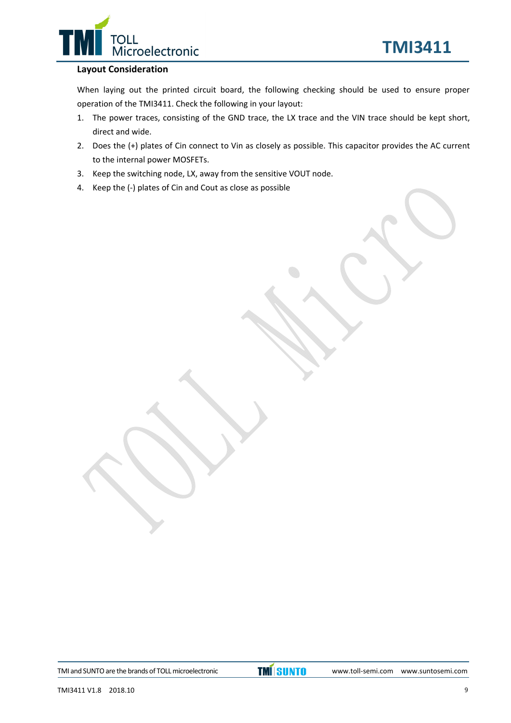

#### **Layout Consideration**

When laying out the printed circuit board, the following checking should be used to ensure proper operation of the TMI3411. Check the following in your layout:

- 1. The power traces, consisting of the GND trace, the LX trace and the VIN trace should be kept short, direct and wide.
- 2. Does the (+) plates of Cin connect to Vin as closely as possible. This capacitor provides the AC current to the internal power MOSFETs.
- 3. Keep the switching node, LX, away from the sensitive VOUT node.
- 4. Keep the (‐) plates of Cin and Cout as close as possible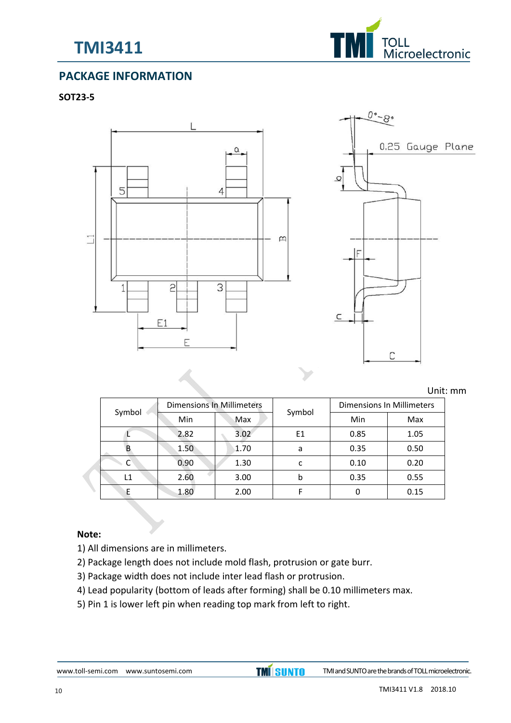



# **PACKAGE INFORMATION**

#### **SOT23‐5**





Unit: mm

|  |        | <b>Dimensions In Millimeters</b> |      |        | Dimensions In Millimeters |      |  |
|--|--------|----------------------------------|------|--------|---------------------------|------|--|
|  | Symbol | Min                              | Max  | Symbol | Min                       | Max  |  |
|  |        | 2.82                             | 3.02 | E1     | 0.85                      | 1.05 |  |
|  |        | 1.50                             | 1.70 | a      | 0.35                      | 0.50 |  |
|  |        | 0.90                             | 1.30 | c      | 0.10                      | 0.20 |  |
|  | L1     | 2.60                             | 3.00 | b      | 0.35                      | 0.55 |  |
|  |        | 1.80                             | 2.00 |        |                           | 0.15 |  |

#### **Note:**

- 1) All dimensions are in millimeters.
- 2) Package length does not include mold flash, protrusion or gate burr.
- 3) Package width does not include inter lead flash or protrusion.
- 4) Lead popularity (bottom of leads after forming) shall be 0.10 millimeters max.
- 5) Pin 1 is lower left pin when reading top mark from left to right.